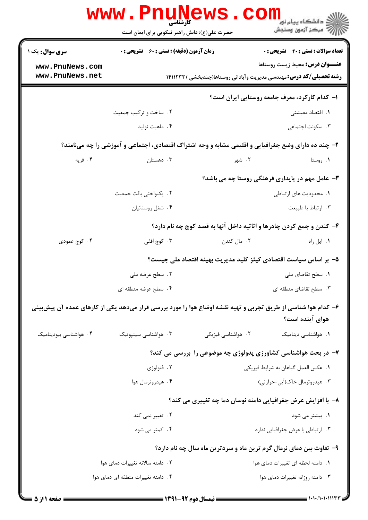|                                                                             | <b>www.PnuNews</b><br>کارشناسی                     |                                     | ≦ دانشگاه پیام نو <mark>ر</mark><br>رِ ۖ مرڪز آزمون وسنڊش                                                     |
|-----------------------------------------------------------------------------|----------------------------------------------------|-------------------------------------|---------------------------------------------------------------------------------------------------------------|
|                                                                             | حضرت علی(ع): دانش راهبر نیکویی برای ایمان است      |                                     |                                                                                                               |
| <b>سری سوال :</b> یک ۱                                                      | <b>زمان آزمون (دقیقه) : تستی : 60 ٪ تشریحی : 0</b> |                                     | <b>تعداد سوالات : تستی : 40 قشریحی : 0</b>                                                                    |
| www.PnuNews.com<br>www.PnuNews.net                                          |                                                    |                                     | <b>عنـــوان درس:</b> محیط زیست روستاها                                                                        |
| <b>رشته تحصیلی/کد درس:</b> مهندسی مدیریت وآبادانی روستاها(چندبخشی ) ۱۴۱۱۲۳۳ |                                                    |                                     |                                                                                                               |
|                                                                             |                                                    |                                     | ۱– کدام کارکرد، معرف جامعه روستایی ایران است؟                                                                 |
|                                                                             | ۰۲ ساخت و ترکیب جمعیت                              |                                     | 1. اقتصاد معيشتي                                                                                              |
|                                                                             | ۰۴ ماهيت توليد                                     |                                     | ۰۳ سکونت اجتماعی                                                                                              |
|                                                                             |                                                    |                                     | ۲- چند ده دارای وضع جغرافیایی و اقلیمی مشابه و وجه اشتراک اقتصادی، اجتماعی و آموزشی را چه مینامند؟            |
| ۰۴ قریه                                                                     | ۰۳ دهستان                                          | ۲. شهر                              | ۰۱ روستا                                                                                                      |
| <b>۳</b> - عامل مهم در پایداری فرهنگی روستا چه می باشد؟                     |                                                    |                                     |                                                                                                               |
|                                                                             | ٢. يكنواختي بافت جمعيت                             |                                     | ۰۱ محدودیت های ارتباطی                                                                                        |
|                                                                             | ۰۴ شغل روستائيان                                   |                                     | ۰۳ ارتباط با طبیعت                                                                                            |
|                                                                             |                                                    |                                     | ۴- کندن و جمع کردن چادرها و اثاثیه داخل آنها به قصد کوچ چه نام دارد؟                                          |
| ۰۴ کوچ عمودی                                                                | ۰۳ کوچ افقی                                        | ۰۲ مال کندن                         | ۰۱ ایل راه                                                                                                    |
|                                                                             |                                                    |                                     | ۵– بر اساس سیاست اقتصادی کیئز کلید مدیریت بهینه اقتصاد ملی چیست؟                                              |
|                                                                             | ۲. سطح عرضه ملی                                    |                                     | ٠١. سطح تقاضاي ملي                                                                                            |
|                                                                             | ۰۴ سطح عرضه منطقه ای                               |                                     | ۰۳ سطح تقاضای منطقه ای                                                                                        |
|                                                                             |                                                    |                                     | ۶– کدام هوا شناسی از طریق تجربی و تهیه نقشه اوضاع هوا را مورد بررسی قرار میدهد یکی از کارهای عمده آن پیش بینی |
|                                                                             |                                                    |                                     | هوای آینده است؟                                                                                               |
| ۰۴ هواشناسی بیودینامیک                                                      | ۰۳ هواشناسی سینپوتیک                               | ۰۲ هواشناسی فیزیکی                  | 1. هواشناسی دینامیک                                                                                           |
|                                                                             |                                                    |                                     | ۷- در بحث هواشناسی کشاورزی پدولوژی چه موضوعی را بررسی می کند؟                                                 |
| ۲. فنولوژی                                                                  |                                                    | ٠. عكس العمل گياهان به شرايط فيزيكي |                                                                                                               |
|                                                                             | ۰۴ هیدروترمال هوا                                  |                                     | ۰۳ هیدروترمال خاک(آبی-حرارتی)                                                                                 |
|                                                                             |                                                    |                                     | ۸– با افزایش عرض جغرافیایی دامنه نوسان دما چه تغییری می کند؟                                                  |
|                                                                             | ۲. تغییر نمی کند                                   |                                     | ۰۱ بیشتر می شود                                                                                               |
|                                                                             | ۴. کمتر می شود                                     |                                     | ۰۳ ارتباطي با عرض جغرافيايي ندارد                                                                             |
|                                                                             |                                                    |                                     | ۹- تفاوت بین دمای نرمال گرم ترین ماه و سردترین ماه سال چه نام دارد؟                                           |
|                                                                             | ٠٢ دامنه سالانه تغييرات دماى هوا                   |                                     | ٠. دامنه لحظه اي تغييرات دماي هوا                                                                             |
|                                                                             | ۰۴ دامنه تغییرات منطقه ای دمای هوا                 |                                     | ٠٣ دامنه روزانه تغييرات دماى هوا                                                                              |
|                                                                             |                                                    |                                     |                                                                                                               |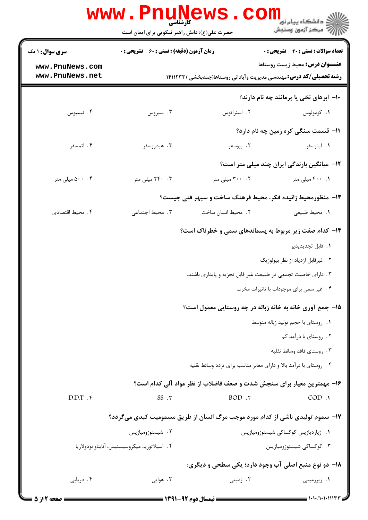|                        | <b>www.PnuNews</b><br>کارشناسی                |                                      | ≦ دانشگاه پیام نور ً                                                          |
|------------------------|-----------------------------------------------|--------------------------------------|-------------------------------------------------------------------------------|
|                        | حضرت علی(ع): دانش راهبر نیکویی برای ایمان است |                                      | رآ - مرڪز آزمون وسنڊش                                                         |
| <b>سری سوال :</b> ۱ یک | زمان آزمون (دقیقه) : تستی : 60 قشریحی : 0     |                                      | تعداد سوالات : تستي : 40 - تشريحي : 0                                         |
| www.PnuNews.com        |                                               |                                      | <b>عنـــوان درس:</b> محیط زیست روستاها                                        |
| www.PnuNews.net        |                                               |                                      | <b>رشته تحصیلی/کد درس:</b> مهندسی مدیریت وآبادانی روستاها(چندبخشی ) ۱۴۱۱۲۳۳   |
|                        |                                               |                                      | ۱۰– ابرهای نخی یا پرمانند چه نام دارند؟                                       |
| ۰۴ نیمبوس              | ۰۳ سیروس                                      | ۰۲ استراتوس                          | ٠١. كومولوس                                                                   |
|                        |                                               |                                      | 11- قسمت سنگی کره زمین چه نام دارد؟                                           |
| ۰۴ اتمسفر              | ۰۳ هیدروسفر                                   | ۲. بیوسفر                            | ۰۱ لیتوسفر                                                                    |
|                        |                                               |                                      | <b>۱۲</b> - میانگین بارندگی ایران چند میلی متر است؟                           |
| ۰۰ . ۵۰۰ میلی متر      | ۰۳ ۲۴۰ میلی متر                               | ۰۲ میلی متر                          | ۰. ۴۰۰ میلی متر                                                               |
|                        |                                               |                                      | ۱۳- منظورمحیط زائیده فکر، محیط فرهنگ ساخت و سپهر فنی چیست؟                    |
| ۰۴ محيط اقتصادي        | ۰۳ محيط اجتماعي                               | ۰۲ محیط انسان ساخت                   | ٠١. محيط طبيعي                                                                |
|                        |                                               |                                      | <b>۱۴</b> - کدام صفت زیر مربوط به پسماندهای سمی و خطرناک است؟                 |
|                        |                                               |                                      | 1. قابل تجديدپذير                                                             |
|                        |                                               |                                      | ۰۲ غیرقابل ازدیاد از نظر بیولوژیک                                             |
|                        |                                               |                                      | ۰۳ دارای خاصیت تجمعی در طبیعت غیر قابل تجزیه و پایداری باشند.                 |
|                        |                                               |                                      | ۰۴ غیر سمی برای موجودات با تاثیرات مخرب                                       |
|                        |                                               |                                      | ۱۵- جمع آوری خانه به خانه زباله در چه روستایی معمول است؟                      |
|                        |                                               |                                      | ۰۱ روستای با حجم تولید زباله متوسط                                            |
|                        |                                               |                                      | ٢. روستاي با درآمد كم                                                         |
|                        |                                               |                                      | ۰۳ , وستای فاقد وسائط نقلیه                                                   |
|                        |                                               |                                      | ۰۴ روستای با درآمد بالا و دارای معابر مناسب برای تردد وسائط نقلیه             |
|                        |                                               |                                      | ۱۶- مهمترین معیار برای سنجش شدت و ضعف فاضلاب از نظر مواد آلی کدام است؟        |
| D.D.T.                 | $SS \cdot \tau$                               | BOD.7                                | COD.                                                                          |
|                        |                                               |                                      | ۱۷- سموم تولیدی ناشی از کدام مورد موجب مرگ انسان از طریق مسمومیت کبدی می5ردد؟ |
|                        | ۰۲ شیستوزومیازیس                              |                                      | ۰۱ ژیاردیازیس کوکساکی شیستوزومیازیس                                           |
|                        | ۰۴ اسپلاتوریا، میکروسیستیس، آنابناو نودولاریا |                                      | ۰۳ کوکساکی شیستوزومیازیس                                                      |
|                        |                                               |                                      | <b>۱۸- دو نوع منبع اصلي آب وجود دارد؛ یکی سطحی و دیگری:</b>                   |
| ۰۴ دریایی              | ۰۳ هوایی                                      | ۰۲ زمینی                             | ۰۱ زیرزمینی                                                                   |
| <b>= صفحه 2از 5 =</b>  |                                               | ـــــــــ نیمسال دوم 92-1391 ـــــــ | = ۱۰۱۰/۱۰۱۰۱۱۱۳۳                                                              |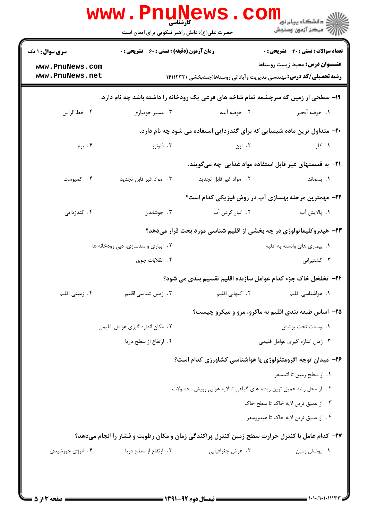|                                    | www.PnuNews<br>کارشناسی<br>حضرت علی(ع): دانش راهبر نیکویی برای ایمان است |                        | COI<br><mark>ڪ</mark> دانشڪاه پيام نور <mark>'</mark><br>أأآت مرکز آزمون وسنجش                                        |
|------------------------------------|--------------------------------------------------------------------------|------------------------|-----------------------------------------------------------------------------------------------------------------------|
| <b>سری سوال : ۱ یک</b>             | <b>زمان آزمون (دقیقه) : تستی : 60 ٪ تشریحی : 0</b>                       |                        | <b>تعداد سوالات : تستی : 40 - تشریحی : 0</b>                                                                          |
| www.PnuNews.com<br>www.PnuNews.net |                                                                          |                        | <b>عنـــوان درس:</b> محیط زیست روستاها<br><b>رشته تحصیلی/کد درس:</b> مهندسی مدیریت وآبادانی روستاها(چندبخشی ) ۱۴۱۱۲۳۳ |
|                                    |                                                                          |                        | ۱۹- سطحی از زمین که سرچشمه تمام شاخه های فرعی یک رودخانه را داشته باشد چه نام دارد.                                   |
| ۰۴ خط الراس                        | ۰۳ مسیر جویباری                                                          | ٢.  حوضه آبده          | ٠١. حوضه آبخيز                                                                                                        |
|                                    |                                                                          |                        | <b>۲۰</b> - متداول ترین ماده شیمیایی که برای گندزدایی استفاده می شود چه نام دارد.                                     |
| ۰۴ برم                             | ۰۳ فلوئور                                                                | ۰۲ ازن                 | ۰۱ کلر                                                                                                                |
|                                    |                                                                          |                        | <b>۲۱</b> - به قسمتهای غیر قابل استفاده مواد غذایی چه میگویند.                                                        |
| ۰۴ کمپوست                          | ۰۳ مواد غیر قابل تجدید                                                   | ٢. مواد غير قابل تجديد | ۰۱. پسماند                                                                                                            |
|                                    |                                                                          |                        | ۲۲– مهمترین مرحله بهسازی آب در روش فیزیکی کدام است؟                                                                   |
| ۰۴ گندزدایی                        | ۰۳ جوشاندن                                                               | ۰۲ انبار کردن آب       | <b>۱.</b> پالايش آب                                                                                                   |
|                                    |                                                                          |                        | ۲۳- هیدروکلیماتولوژی در چه بخشی از اقلیم شناسی مورد بحث قرار میدهد؟                                                   |
|                                    | ۰۲ آبیاری و سدسازی، دبی رودخانه ها                                       |                        | ۰۱ بیماری های وابسته به اقلیم                                                                                         |
|                                    | ۰۴ انقلابات جوی                                                          |                        | ۰۳ کشتیرانی                                                                                                           |
|                                    |                                                                          |                        | ۲۴- تخلخل خاک جزء کدام عوامل سازنده اقلیم تقسیم بندی می شود؟                                                          |
| ۰۴ زمینی اقلیم                     | ۰۳ زمین شناسی اقلیم                                                      | ۰۲ کیهانی اقلیم        | ٠١. هواشناسي اقليم                                                                                                    |
|                                    |                                                                          |                        | ۲۵- اساس طبقه بندی اقلیم به ماکرو، مزو و میکرو چیست؟                                                                  |
|                                    | ٢. مكان اندازه گيرى عوامل اقليمي                                         |                        | ٠١. وسعت تحت پوشش                                                                                                     |
|                                    | ۰۴ ارتفاع از سطح دریا                                                    |                        | ۰۳ زمان اندازه گیری عوامل قلیمی                                                                                       |
|                                    |                                                                          |                        | ۲۶– میدان توجه اگرومتئولوژی یا هواشناسی کشاورزی کدام است؟                                                             |
|                                    |                                                                          |                        | ٠١. از سطح زمين تا اتمسفر                                                                                             |
|                                    |                                                                          |                        | ٢ . از محل رشد عميق ترين ريشه هاي گياهي تا لايه هوايي رويش محصولات                                                    |
|                                    |                                                                          |                        | ۰۳ از عمیق ترین لایه خاک تا سطح خاک                                                                                   |
|                                    |                                                                          |                        | ۴. از عمیق ترین لایه خاک تا هیدروسفر                                                                                  |
|                                    |                                                                          |                        | ۲۷– کدام عامل با کنترل حرارت سطح زمین کنترل پراکندگی زمان و مکان رطوبت و فشار را انجام میدهد؟                         |
| ۰۴ انرژی خورشیدی                   | ۰۳ ارتفاع از سطح دریا                                                    | ۰۲ عرض جغرافیایی       | ۰۱ پوشش زمین                                                                                                          |
|                                    |                                                                          |                        |                                                                                                                       |
|                                    |                                                                          |                        |                                                                                                                       |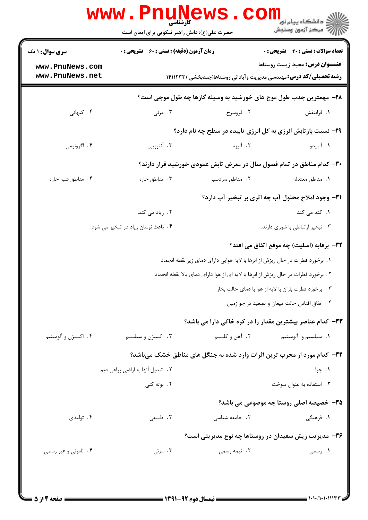|                                    | www.PnuN<br>کارشناسی<br>حضرت علی(ع): دانش راهبر نیکویی برای ایمان است               | ews                                                                           | ڪ دانشڪاه پيا <sub>م</sub> نور<br><mark>ر</mark> 7 مرڪز آزمون وسنڊش                                                   |  |
|------------------------------------|-------------------------------------------------------------------------------------|-------------------------------------------------------------------------------|-----------------------------------------------------------------------------------------------------------------------|--|
| <b>سری سوال : ۱ یک</b>             | <b>زمان آزمون (دقیقه) : تستی : 60 ٪ تشریحی : 0</b>                                  |                                                                               | <b>تعداد سوالات : تستي : 40 قشريحي : 0</b>                                                                            |  |
| www.PnuNews.com<br>www.PnuNews.net |                                                                                     |                                                                               | <b>عنـــوان درس:</b> محیط زیست روستاها<br><b>رشته تحصیلی/کد درس:</b> مهندسی مدیریت وآبادانی روستاها(چندبخشی ) ۱۴۱۱۲۳۳ |  |
|                                    |                                                                                     |                                                                               | ۲۸– مهمترین جذب طول موج های خورشید به وسیله گازها چه طول موجی است؟                                                    |  |
| ۰۴ کیهانی                          | ۰۳ مرئی                                                                             | ۰۲ فروسرخ                                                                     | ٠١. فرابنفش                                                                                                           |  |
|                                    |                                                                                     |                                                                               | <b>۲۹</b> - نسبت بازتابش انرژی به کل انرژی تابیده در سطح چه نام دارد؟                                                 |  |
| ۰۴ اگرونومی                        | ۰۳ آنتروپی                                                                          | ۲. آلیزه                                                                      | ٠١. آلبيدو                                                                                                            |  |
|                                    |                                                                                     |                                                                               | ۳۰– کدام مناطق در تمام فصول سال در معرض تابش عمودی خورشید قرار دارند؟                                                 |  |
| ۰۴ مناطق شبه حاره                  | ۰۳ مناطق حاره                                                                       | ۰۲ مناطق سردسیر                                                               | ٠١. مناطق معتدله                                                                                                      |  |
|                                    |                                                                                     |                                                                               | <b>۳۱</b> - وجود املاح محلول آب چه اثری بر تبخیر آب دارد؟                                                             |  |
|                                    | ۰۲ زیاد می کند                                                                      |                                                                               | <b>۱.</b> کند می کند                                                                                                  |  |
|                                    | ۰۴ باعث نوسان زیاد در تبخیر می شود.                                                 |                                                                               | ۰۳ تبخیر ارتباطی با شوری دارند.                                                                                       |  |
|                                    |                                                                                     |                                                                               | ٣٢- برفابه (اسليت) چه موقع اتفاق مي افتد؟                                                                             |  |
|                                    |                                                                                     | ۱. برخورد قطرات در حال ریزش از ابرها با لایه هوایی دارای دمای زیر نقطه انجماد |                                                                                                                       |  |
|                                    | ۲ . برخورد قطرات در حال ریزش از ابرها با لایه ای از هوا دارای دمای بالا نقطه انجماد |                                                                               |                                                                                                                       |  |
|                                    |                                                                                     | ۰۳ . برخورد قطرت باران با لايه از هوا با دماي حالت بخار                       |                                                                                                                       |  |
|                                    |                                                                                     |                                                                               | ۴. اتفاق افتادن حالت میعان و تصعید در جو زمین                                                                         |  |
|                                    |                                                                                     |                                                                               | ۳۳- کدام عناصر بیشترین مقدار را در کره خاکی دارا می باشد؟                                                             |  |
| ۰۴ اکسیژن و آلومینیم               | ۰۳ اکسیژن و سیلسیم                                                                  | ۰۲ آهن و کلسیم                                                                | ٠١. سيلسيم و ألومينيم                                                                                                 |  |
|                                    |                                                                                     |                                                                               | ۳۴- کدام مورد از مخرب ترین اثرات وارد شده به جنگل های مناطق خشک میباشد؟                                               |  |
|                                    | ۲ . تبدیل آنها به اراضی زراعی دیم                                                   |                                                                               | ۰۱ چرا                                                                                                                |  |
|                                    | ۰۴ بوته کنی                                                                         |                                                                               | ۰۳ استفاده به عنوان سوخت                                                                                              |  |
|                                    |                                                                                     |                                                                               | ۳۵- خصیصه اصلی روستا چه موضوعی می باشد؟                                                                               |  |
| ۰۴ تولیدی                          | ۰۳ طبیعی                                                                            | ۲. جامعه شناسی                                                                | ۱. فرهنگی                                                                                                             |  |
|                                    |                                                                                     |                                                                               | ۳۶- مدیریت ریش سفیدان در روستاها چه نوع مدیریتی است؟                                                                  |  |
| ۰۴ نامرئی و غیر رسمی               | ۰۳ مرئی                                                                             | ۰۲ نیمه رسمی                                                                  | ۰۱ رسمی                                                                                                               |  |
|                                    |                                                                                     |                                                                               |                                                                                                                       |  |
|                                    |                                                                                     |                                                                               |                                                                                                                       |  |